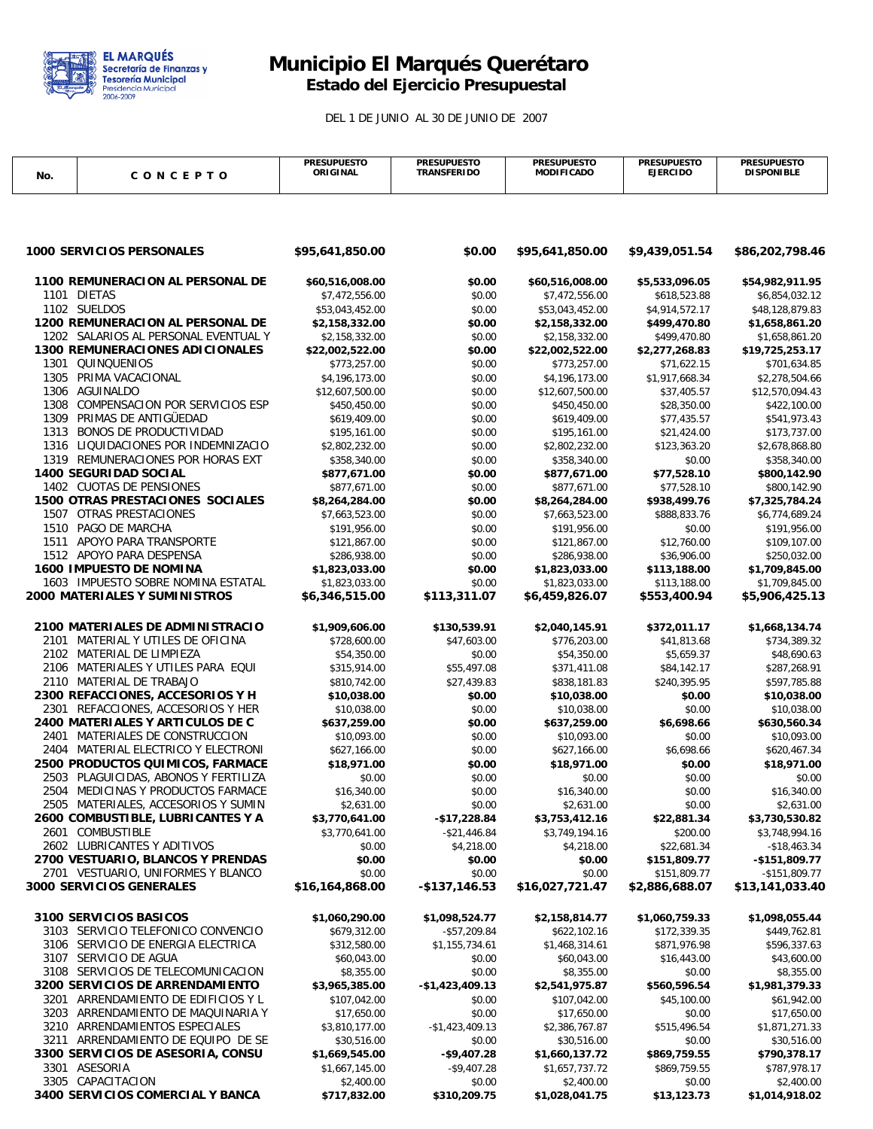

## **Municipio El Marqués Querétaro Estado del Ejercicio Presupuestal**

DEL 1 DE JUNIO AL 30 DE JUNIO DE 2007

|                                                                                |                                         | <b>PRESUPUESTO</b>              | <b>PRESUPUESTO</b> | <b>PRESUPUESTO</b>               | <b>PRESUPUESTO</b>           | <b>PRESUPUESTO</b>              |
|--------------------------------------------------------------------------------|-----------------------------------------|---------------------------------|--------------------|----------------------------------|------------------------------|---------------------------------|
| No.                                                                            | CONCEPTO                                | ORIGINAL                        | <b>TRANSFERIDO</b> | <b>MODIFICADO</b>                | <b>EJERCIDO</b>              | <b>DISPONIBLE</b>               |
|                                                                                |                                         |                                 |                    |                                  |                              |                                 |
|                                                                                |                                         |                                 |                    |                                  |                              |                                 |
|                                                                                |                                         |                                 |                    |                                  |                              |                                 |
|                                                                                |                                         |                                 |                    |                                  |                              |                                 |
|                                                                                | <b>1000 SERVICIOS PERSONALES</b>        |                                 | \$0.00             |                                  |                              |                                 |
|                                                                                |                                         | \$95,641,850.00                 |                    | \$95,641,850.00                  | \$9,439,051.54               | \$86,202,798.46                 |
|                                                                                |                                         |                                 |                    |                                  |                              |                                 |
|                                                                                | 1100 REMUNERACION AL PERSONAL DE        | \$60,516,008.00                 | \$0.00             | \$60,516,008.00                  | \$5,533,096.05               | \$54,982,911.95                 |
| 1101 DIETAS                                                                    |                                         | \$7,472,556.00                  | \$0.00             | \$7,472,556.00                   | \$618,523.88                 | \$6,854,032.12                  |
| 1102 SUELDOS                                                                   |                                         | \$53,043,452.00                 | \$0.00             | \$53,043,452.00                  | \$4,914,572.17               | \$48,128,879.83                 |
| <b>1200 REMUNERACION AL PERSONAL DE</b>                                        |                                         | \$2,158,332.00                  | \$0.00             | \$2,158,332.00                   | \$499,470.80<br>\$499,470.80 | \$1,658,861.20                  |
| 1202 SALARIOS AL PERSONAL EVENTUAL Y<br><b>1300 REMUNERACIONES ADICIONALES</b> |                                         | \$2,158,332.00                  | \$0.00             | \$2,158,332.00                   | \$2,277,268.83               | \$1,658,861.20                  |
|                                                                                | 1301 QUINQUENIOS                        | \$22,002,522.00<br>\$773,257.00 | \$0.00<br>\$0.00   | \$22,002,522.00<br>\$773,257.00  | \$71,622.15                  | \$19,725,253.17<br>\$701,634.85 |
|                                                                                | 1305 PRIMA VACACIONAL                   | \$4,196,173.00                  | \$0.00             | \$4,196,173.00                   | \$1,917,668.34               | \$2,278,504.66                  |
|                                                                                | 1306 AGUINALDO                          | \$12,607,500.00                 | \$0.00             | \$12,607,500.00                  | \$37,405.57                  | \$12,570,094.43                 |
|                                                                                | 1308 COMPENSACION POR SERVICIOS ESP     | \$450,450.00                    | \$0.00             | \$450,450.00                     | \$28,350.00                  | \$422,100.00                    |
|                                                                                | 1309 PRIMAS DE ANTIGÜEDAD               | \$619,409.00                    | \$0.00             | \$619,409.00                     | \$77,435.57                  | \$541,973.43                    |
|                                                                                | 1313 BONOS DE PRODUCTIVIDAD             | \$195,161.00                    | \$0.00             | \$195,161.00                     | \$21,424.00                  | \$173,737.00                    |
|                                                                                | 1316 LIQUIDACIONES POR INDEMNIZACIO     | \$2,802,232.00                  | \$0.00             | \$2,802,232.00                   | \$123,363.20                 | \$2,678,868.80                  |
|                                                                                | 1319 REMUNERACIONES POR HORAS EXT       | \$358,340.00                    | \$0.00             | \$358,340.00                     | \$0.00                       | \$358,340.00                    |
|                                                                                | <b>1400 SEGURIDAD SOCIAL</b>            | \$877,671.00                    | \$0.00             | \$877,671.00                     | \$77,528.10                  | \$800,142.90                    |
|                                                                                | 1402 CUOTAS DE PENSIONES                | \$877,671.00                    |                    |                                  | \$77,528.10                  |                                 |
|                                                                                | <b>1500 OTRAS PRESTACIONES SOCIALES</b> |                                 | \$0.00<br>\$0.00   | \$877,671.00                     |                              | \$800,142.90                    |
|                                                                                | 1507 OTRAS PRESTACIONES                 | \$8,264,284.00                  |                    | \$8,264,284.00<br>\$7,663,523.00 | \$938,499.76<br>\$888,833.76 | \$7,325,784.24                  |
|                                                                                | 1510 PAGO DE MARCHA                     | \$7,663,523.00                  | \$0.00             |                                  |                              | \$6,774,689.24                  |
|                                                                                | 1511 APOYO PARA TRANSPORTE              | \$191,956.00                    | \$0.00             | \$191,956.00<br>\$121,867.00     | \$0.00                       | \$191,956.00                    |
|                                                                                | 1512 APOYO PARA DESPENSA                | \$121,867.00                    | \$0.00             |                                  | \$12,760.00                  | \$109,107.00                    |
|                                                                                | <b>1600 IMPUESTO DE NOMINA</b>          | \$286,938.00                    | \$0.00             | \$286,938.00                     | \$36,906.00                  | \$250,032.00                    |
|                                                                                | 1603 IMPUESTO SOBRE NOMINA ESTATAL      | \$1,823,033.00                  | \$0.00             | \$1,823,033.00                   | \$113,188.00                 | \$1,709,845.00                  |
|                                                                                |                                         | \$1,823,033.00                  | \$0.00             | \$1,823,033.00                   | \$113,188.00                 | \$1,709,845.00                  |
| <b>2000 MATERIALES Y SUMINISTROS</b>                                           |                                         | \$6,346,515.00                  | \$113,311.07       | \$6,459,826.07                   | \$553,400.94                 | \$5,906,425.13                  |
|                                                                                |                                         |                                 |                    |                                  |                              |                                 |
|                                                                                | 2100 MATERIALES DE ADMINISTRACIO        | \$1,909,606.00                  | \$130,539.91       | \$2,040,145.91                   | \$372,011.17                 | \$1,668,134.74                  |
|                                                                                | 2101 MATERIAL Y UTILES DE OFICINA       | \$728,600.00                    | \$47,603.00        | \$776,203.00                     | \$41,813.68                  | \$734,389.32                    |
|                                                                                | 2102 MATERIAL DE LIMPIEZA               | \$54,350.00                     | \$0.00             | \$54,350.00                      | \$5,659.37                   | \$48,690.63                     |
|                                                                                | 2106 MATERIALES Y UTILES PARA EQUI      | \$315,914.00                    | \$55,497.08        | \$371,411.08                     | \$84,142.17                  | \$287,268.91                    |
|                                                                                | 2110 MATERIAL DE TRABAJO                | \$810,742.00                    | \$27,439.83        | \$838,181.83                     | \$240,395.95                 | \$597,785.88                    |
| 2300 REFACCIONES, ACCESORIOS Y H                                               |                                         | \$10,038.00                     | \$0.00             | \$10,038.00                      | \$0.00                       | \$10,038.00                     |
|                                                                                | 2301 REFACCIONES, ACCESORIOS Y HER      | \$10,038.00                     | \$0.00             | \$10,038.00                      | \$0.00                       | \$10,038.00                     |
|                                                                                | 2400 MATERIALES Y ARTICULOS DE C        | \$637,259.00                    | \$0.00             | \$637,259.00                     | \$6,698.66                   | \$630,560.34                    |
|                                                                                | 2401 MATERIALES DE CONSTRUCCION         | \$10,093.00                     | \$0.00             | \$10,093.00                      | \$0.00                       | \$10,093.00                     |
|                                                                                | 2404 MATERIAL ELECTRICO Y ELECTRONI     | \$627,166.00                    | \$0.00             | \$627,166.00                     | \$6,698.66                   | \$620,467.34                    |
|                                                                                | 2500 PRODUCTOS QUIMICOS, FARMACE        | \$18,971.00                     | \$0.00             | \$18,971.00                      | \$0.00                       | \$18,971.00                     |
|                                                                                | 2503 PLAGUICIDAS, ABONOS Y FERTILIZA    | \$0.00                          | \$0.00             | \$0.00                           | \$0.00                       | \$0.00                          |
|                                                                                | 2504 MEDICINAS Y PRODUCTOS FARMACE      | \$16,340.00                     | \$0.00             | \$16,340.00                      | \$0.00                       | \$16,340.00                     |
|                                                                                | 2505 MATERIALES, ACCESORIOS Y SUMIN     | \$2,631.00                      | \$0.00             | \$2,631.00                       | \$0.00                       | \$2,631.00                      |
|                                                                                | 2600 COMBUSTIBLE, LUBRICANTES Y A       | \$3,770,641.00                  | $-$17,228.84$      | \$3,753,412.16                   | \$22,881.34                  | \$3,730,530.82                  |
|                                                                                | 2601 COMBUSTIBLE                        | \$3,770,641.00                  | $-$ \$21,446.84    | \$3,749,194.16                   | \$200.00                     | \$3,748,994.16                  |
|                                                                                | 2602 LUBRICANTES Y ADITIVOS             | \$0.00                          | \$4,218.00         | \$4,218.00                       | \$22,681.34                  | $-$18,463.34$                   |
|                                                                                | 2700 VESTUARIO, BLANCOS Y PRENDAS       | \$0.00                          | \$0.00             | \$0.00                           | \$151,809.77                 | -\$151,809.77                   |
|                                                                                | 2701 VESTUARIO, UNIFORMES Y BLANCO      | \$0.00                          | \$0.00             | \$0.00                           | \$151,809.77                 | $-$151,809.77$                  |
|                                                                                | 3000 SERVICIOS GENERALES                | \$16,164,868.00                 | -\$137,146.53      | \$16,027,721.47                  | \$2,886,688.07               | \$13,141,033.40                 |
|                                                                                |                                         |                                 |                    |                                  |                              |                                 |
|                                                                                | 3100 SERVICIOS BASICOS                  | \$1,060,290.00                  | \$1,098,524.77     | \$2,158,814.77                   | \$1,060,759.33               | \$1,098,055.44                  |
|                                                                                | 3103 SERVICIO TELEFONICO CONVENCIO      | \$679,312.00                    | $-$57,209.84$      | \$622,102.16                     | \$172,339.35                 | \$449,762.81                    |
|                                                                                | 3106 SERVICIO DE ENERGIA ELECTRICA      | \$312,580.00                    | \$1,155,734.61     | \$1,468,314.61                   | \$871,976.98                 | \$596,337.63                    |
|                                                                                | 3107 SERVICIO DE AGUA                   | \$60,043.00                     | \$0.00             | \$60,043.00                      | \$16,443.00                  | \$43,600.00                     |
| 3108 SERVICIOS DE TELECOMUNICACION                                             |                                         | \$8,355.00                      | \$0.00             | \$8,355.00                       | \$0.00                       | \$8,355.00                      |
|                                                                                | 3200 SERVICIOS DE ARRENDAMIENTO         | \$3,965,385.00                  | -\$1,423,409.13    | \$2,541,975.87                   | \$560,596.54                 | \$1,981,379.33                  |
|                                                                                | 3201 ARRENDAMIENTO DE EDIFICIOS Y L     | \$107,042.00                    | \$0.00             | \$107,042.00                     | \$45,100.00                  | \$61,942.00                     |
|                                                                                | 3203 ARRENDAMIENTO DE MAQUINARIA Y      | \$17,650.00                     | \$0.00             | \$17,650.00                      | \$0.00                       | \$17,650.00                     |
|                                                                                | 3210 ARRENDAMIENTOS ESPECIALES          | \$3,810,177.00                  | -\$1,423,409.13    | \$2,386,767.87                   | \$515,496.54                 | \$1,871,271.33                  |
|                                                                                | 3211 ARRENDAMIENTO DE EQUIPO DE SE      | \$30,516.00                     | \$0.00             | \$30,516.00                      | \$0.00                       | \$30,516.00                     |
|                                                                                | 3300 SERVICIOS DE ASESORIA, CONSU       | \$1,669,545.00                  | $-$9,407.28$       | \$1,660,137.72                   | \$869,759.55                 | \$790,378.17                    |
|                                                                                | 3301 ASESORIA                           | \$1,667,145.00                  | $-$9,407.28$       | \$1,657,737.72                   | \$869,759.55                 | \$787,978.17                    |
|                                                                                | 3305 CAPACITACION                       | \$2,400.00                      | \$0.00             | \$2,400.00                       | \$0.00                       | \$2,400.00                      |
|                                                                                | 3400 SERVICIOS COMERCIAL Y BANCA        | \$717,832.00                    | \$310,209.75       | \$1,028,041.75                   | \$13,123.73                  | \$1,014,918.02                  |